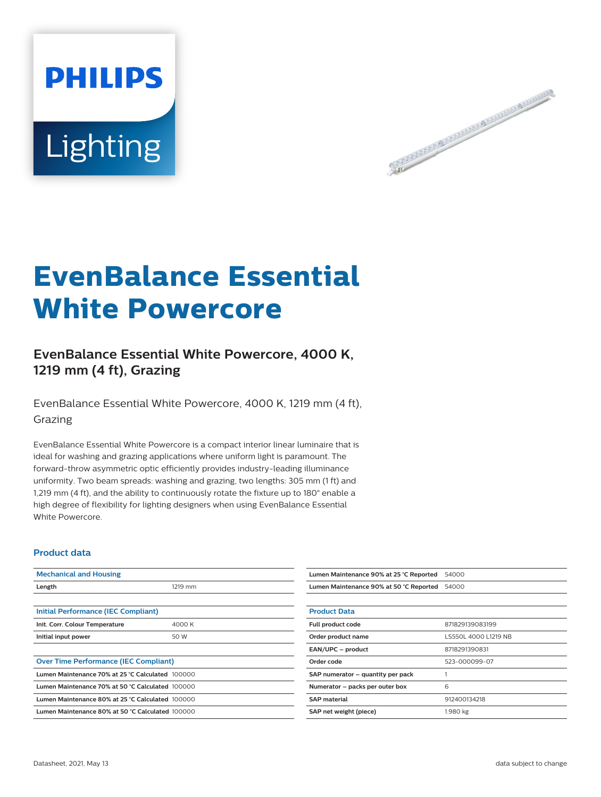



# **EvenBalance Essential White Powercore**

## **EvenBalance Essential White Powercore, 4000 K, 1219 mm (4 ft), Grazing**

EvenBalance Essential White Powercore, 4000 K, 1219 mm (4 ft), Grazing

EvenBalance Essential White Powercore is a compact interior linear luminaire that is ideal for washing and grazing applications where uniform light is paramount. The forward-throw asymmetric optic efficiently provides industry-leading illuminance uniformity. Two beam spreads: washing and grazing, two lengths: 305 mm (1 ft) and 1,219 mm (4 ft), and the ability to continuously rotate the fixture up to 180° enable a high degree of flexibility for lighting designers when using EvenBalance Essential White Powercore.

#### **Product data**

| <b>Mechanical and Housing</b>                    |         | Lumen Maintenance 90% at 25 °C Reported | 54000                |
|--------------------------------------------------|---------|-----------------------------------------|----------------------|
| Length                                           | 1219 mm | Lumen Maintenance 90% at 50 °C Reported | 54000                |
|                                                  |         |                                         |                      |
| Initial Performance (IEC Compliant)              |         | <b>Product Data</b>                     |                      |
| Init. Corr. Colour Temperature                   | 4000 K  | Full product code                       | 871829139083199      |
| Initial input power                              | 50 W    | Order product name                      | LS550L 4000 L1219 NB |
|                                                  |         | EAN/UPC - product                       | 8718291390831        |
| <b>Over Time Performance (IEC Compliant)</b>     |         | Order code                              | 523-000099-07        |
| Lumen Maintenance 70% at 25 °C Calculated 100000 |         | SAP numerator - quantity per pack       |                      |
| Lumen Maintenance 70% at 50 °C Calculated 100000 |         | Numerator - packs per outer box         | 6                    |
| Lumen Maintenance 80% at 25 °C Calculated 100000 |         | <b>SAP material</b>                     | 912400134218         |
| Lumen Maintenance 80% at 50 °C Calculated 100000 |         | SAP net weight (piece)                  | 1.980 kg             |
|                                                  |         |                                         |                      |